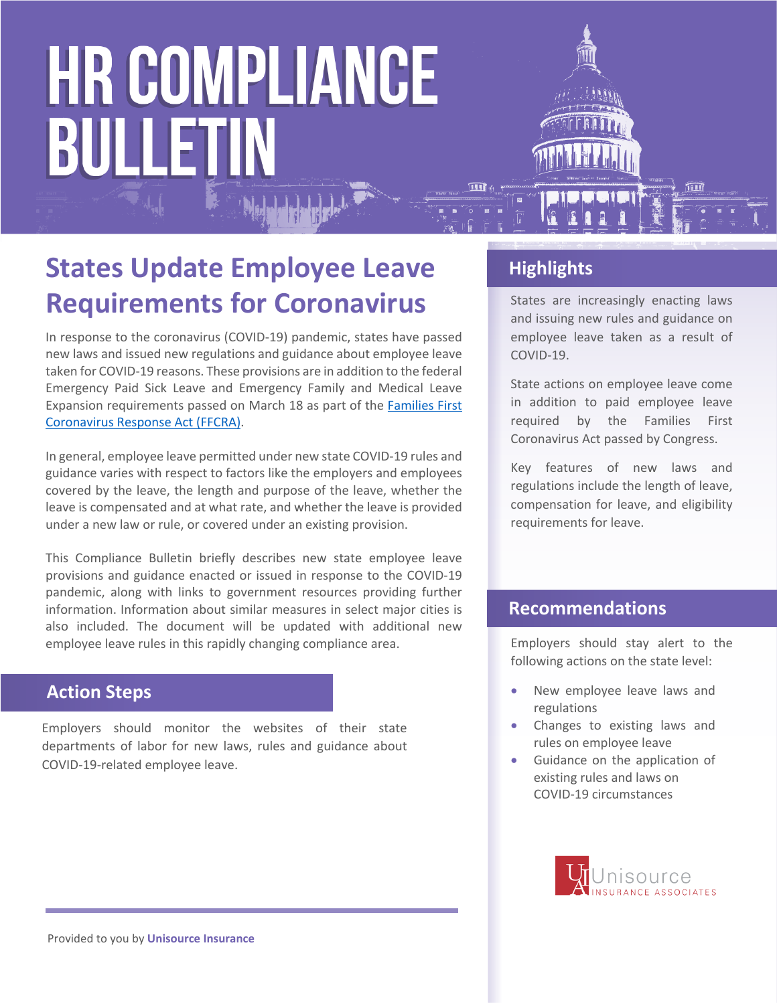

In response to the coronavirus (COVID-19) pandemic, states have passed new laws and issued new regulations and guidance about employee leave taken for COVID-19 reasons. These provisions are in addition to the federal Emergency Paid Sick Leave and Emergency Family and Medical Leave Expansion requirements passed on March 18 as part of the [Families First](https://www.dol.gov/agencies/whd/pandemic)  [Coronavirus Response Act](https://www.dol.gov/agencies/whd/pandemic) (FFCRA).

In general, employee leave permitted under new state COVID-19 rules and guidance varies with respect to factors like the employers and employees covered by the leave, the length and purpose of the leave, whether the leave is compensated and at what rate, and whether the leave is provided under a new law or rule, or covered under an existing provision.

This Compliance Bulletin briefly describes new state employee leave provisions and guidance enacted or issued in response to the COVID-19 pandemic, along with links to government resources providing further information. Information about similar measures in select major cities is also included. The document will be updated with additional new employee leave rules in this rapidly changing compliance area.

# **Action Steps**

Employers should monitor the websites of their state departments of labor for new laws, rules and guidance about COVID-19-related employee leave.

# **Highlights**

States are increasingly enacting laws and issuing new rules and guidance on employee leave taken as a result of COVID-19.

State actions on employee leave come in addition to paid employee leave required by the Families First Coronavirus Act passed by Congress.

Key features of new laws and regulations include the length of leave, compensation for leave, and eligibility requirements for leave.

### **Recommendations**

Employers should stay alert to the following actions on the state level:

- New employee leave laws and regulations
- Changes to existing laws and rules on employee leave
- Guidance on the application of existing rules and laws on COVID-19 circumstances

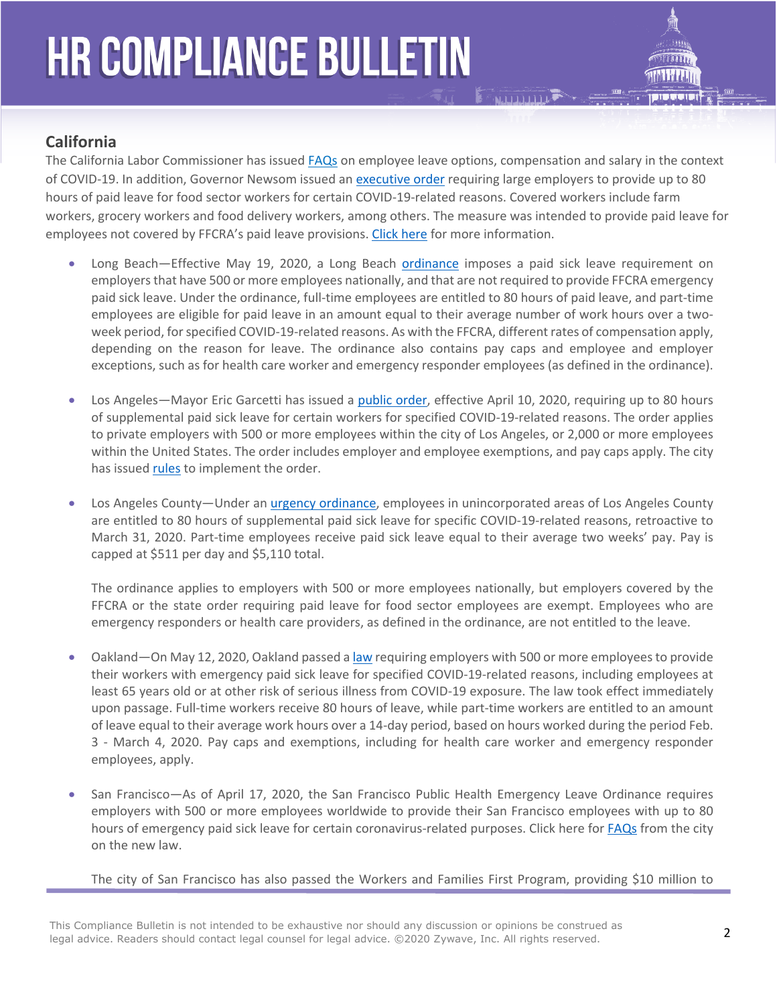

# **California**

The California Labor Commissioner has issued [FAQs](https://www.dir.ca.gov/dlse/2019-Novel-Coronavirus.htm) on employee leave options, compensation and salary in the context of COVID-19. In addition, Governor Newsom issued an [executive order](https://www.gov.ca.gov/2020/04/16/governor-newsom-announces-paid-sick-leave-benefits-for-food-sector-workers-impacted-by-covid-19-additional-protections-for-consumers/) requiring large employers to provide up to 80 hours of paid leave for food sector workers for certain COVID-19-related reasons. Covered workers include farm workers, grocery workers and food delivery workers, among others. The measure was intended to provide paid leave for employees not covered by FFCRA's paid leave provisions. [Click here](https://www.gov.ca.gov/2020/04/16/governor-newsom-announces-paid-sick-leave-benefits-for-food-sector-workers-impacted-by-covid-19-additional-protections-for-consumers/) for more information.

- Long Beach—Effective May 19, 2020, a Long Beach [ordinance](http://longbeach.legistar.com/LegislationDetail.aspx?ID=4456416&GUID=D00135E4-A365-4AD1-8FF0-FBEA872BC1C6&Options=ID%7CText%7C&Search=COVID-19+leave) imposes a paid sick leave requirement on employers that have 500 or more employees nationally, and that are not required to provide FFCRA emergency paid sick leave. Under the ordinance, full-time employees are entitled to 80 hours of paid leave, and part-time employees are eligible for paid leave in an amount equal to their average number of work hours over a twoweek period, for specified COVID-19-related reasons. As with the FFCRA, different rates of compensation apply, depending on the reason for leave. The ordinance also contains pay caps and employee and employer exceptions, such as for health care worker and emergency responder employees (as defined in the ordinance).
- Los Angeles—Mayor Eric Garcetti has issued a [public order,](https://www.lamayor.org/sites/g/files/wph446/f/page/file/SUPPLEMENTALPAIDSICKLEAVE.pdf) effective April 10, 2020, requiring up to 80 hours of supplemental paid sick leave for certain workers for specified COVID-19-related reasons. The order applies to private employers with 500 or more employees within the city of Los Angeles, or 2,000 or more employees within the United States. The order includes employer and employee exemptions, and pay caps apply. The city has issued [rules](https://wagesla.lacity.org/) to implement the order.
- Los Angeles County—Under an [urgency ordinance,](https://library.municode.com/ca/los_angeles_county/codes/code_of_ordinances?nodeId=TIT8COPRBUWARE_DIV5COWOPR_CH8.200COSUPASILE) employees in unincorporated areas of Los Angeles County are entitled to 80 hours of supplemental paid sick leave for specific COVID-19-related reasons, retroactive to March 31, 2020. Part-time employees receive paid sick leave equal to their average two weeks' pay. Pay is capped at \$511 per day and \$5,110 total.

The ordinance applies to employers with 500 or more employees nationally, but employers covered by the FFCRA or the state order requiring paid leave for food sector employees are exempt. Employees who are emergency responders or health care providers, as defined in the ordinance, are not entitled to the leave.

- Oakland—On May 12, 2020, Oakland passed a [law](https://cao-94612.s3.amazonaws.com/documents/EPSL-FINAL-corrected-amended-5-12-20-Council-corrected.pdf) requiring employers with 500 or more employees to provide their workers with emergency paid sick leave for specified COVID-19-related reasons, including employees at least 65 years old or at other risk of serious illness from COVID-19 exposure. The law took effect immediately upon passage. Full-time workers receive 80 hours of leave, while part-time workers are entitled to an amount of leave equal to their average work hours over a 14-day period, based on hours worked during the period Feb. 3 - March 4, 2020. Pay caps and exemptions, including for health care worker and emergency responder employees, apply.
- San Francisco—As of April 17, 2020, the San Francisco Public Health Emergency Leave Ordinance requires employers with 500 or more employees worldwide to provide their San Francisco employees with up to 80 hours of emergency paid sick leave for certain coronavirus-related purposes. Click here for **[FAQs](https://sfgov.org/olse/sites/default/files/PHEL%20FAQ%2004.17.20.pdf)** from the city on the new law.

The city of San Francisco has also passed the Workers and Families First Program, providing \$10 million to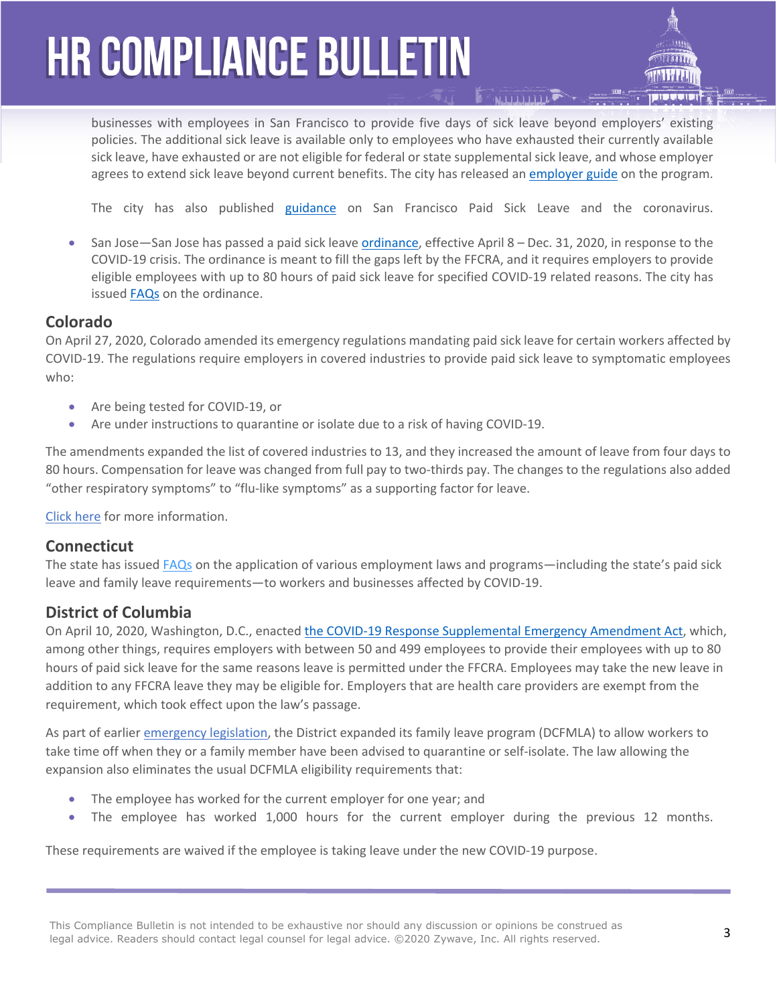businesses with employees in San Francisco to provide five days of sick leave beyond employers' existing policies. The additional sick leave is available only to employees who have exhausted their currently available sick leave, have exhausted or are not eligible for federal or state supplemental sick leave, and whose employer agrees to extend sick leave beyond current benefits. The city has released an [employer guide](https://sf.gov/step-by-step/get-reimbursed-paying-your-sf-staff-extra-sick-time) on the program.

The city has also published [guidance](https://sfgov.org/olse/san-francisco-paid-sick-leave-coronavirus) on San Francisco Paid Sick Leave and the coronavirus.

 San Jose—San Jose has passed a paid sick leave [ordinance,](https://www.sanjoseca.gov/?navid=5492) effective April 8 – Dec. 31, 2020, in response to the COVID-19 crisis. The ordinance is meant to fill the gaps left by the FFCRA, and it requires employers to provide eligible employees with up to 80 hours of paid sick leave for specified COVID-19 related reasons. The city has issued [FAQs](https://www.sanjoseca.gov/home/showdocument?id=56786) on the ordinance.

#### **Colorado**

On April 27, 2020, Colorado amended its emergency regulations mandating paid sick leave for certain workers affected by COVID-19. The regulations require employers in covered industries to provide paid sick leave to symptomatic employees who:

- Are being tested for COVID-19, or
- Are under instructions to quarantine or isolate due to a risk of having COVID-19.

The amendments expanded the list of covered industries to 13, and they increased the amount of leave from four days to 80 hours. Compensation for leave was changed from full pay to two-thirds pay. The changes to the regulations also added "other respiratory symptoms" to "flu-like symptoms" as a supporting factor for leave.

[Click here](https://www.colorado.gov/pacific/cdle/colorado-health-emergency-leave-pay-%E2%80%9Ccolorado-help%E2%80%9D-rules) for more information.

#### **Connecticut**

The state has issued [FAQs](https://www.google.com/url?sa=t&rct=j&q=&esrc=s&source=web&cd=2&ved=2ahUKEwid6uLgs7voAhWDK80KHXTZD1oQFjABegQIAxAB&url=https://portal.ct.gov/-/media/Coronavirus/COVID-19-FAQs.pdf?la=en&usg=AOvVaw20ZD6752A-TPzFxygir0w1) on the application of various employment laws and programs—including the state's paid sick leave and family leave requirements—to workers and businesses affected by COVID-19.

### **District of Columbia**

On April 10, 2020, Washington, D.C., enacted [the COVID-19 Response Supplemental Emergency Amendment Act](https://code.dccouncil.us/dc/council/acts/23-286.html), which, among other things, requires employers with between 50 and 499 employees to provide their employees with up to 80 hours of paid sick leave for the same reasons leave is permitted under the FFCRA. Employees may take the new leave in addition to any FFCRA leave they may be eligible for. Employers that are health care providers are exempt from the requirement, which took effect upon the law's passage.

As part of earlier [emergency legislation,](http://lims.dccouncil.us/Legislation/B23-0718) the District expanded its family leave program (DCFMLA) to allow workers to take time off when they or a family member have been advised to quarantine or self-isolate. The law allowing the expansion also eliminates the usual DCFMLA eligibility requirements that:

- The employee has worked for the current employer for one year; and
- The employee has worked 1,000 hours for the current employer during the previous 12 months.

These requirements are waived if the employee is taking leave under the new COVID-19 purpose.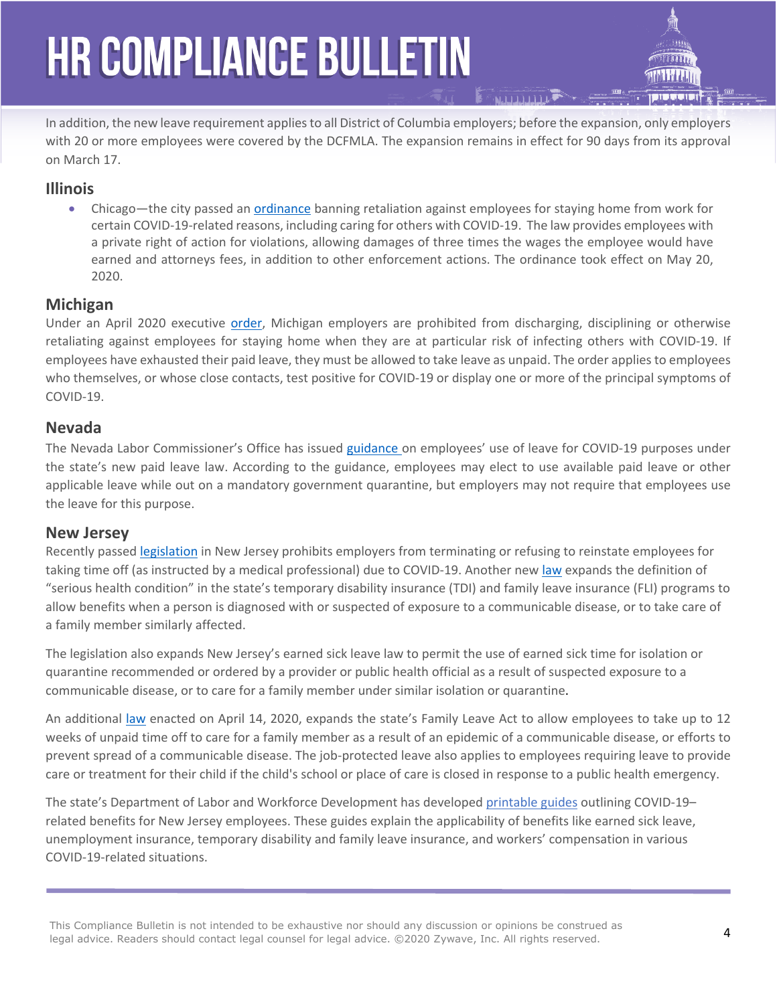In addition, the new leave requirement applies to all District of Columbia employers; before the expansion, only employers with 20 or more employees were covered by the DCFMLA. The expansion remains in effect for 90 days from its approval on March 17.

### **Illinois**

• Chicago—the city passed an [ordinance](https://chicago.legistar.com/LegislationDetail.aspx?ID=4424788&GUID=200E1B58-E5D5-4B5C-B14C-294DAAACA6FC&Options=Advanced&Search=) banning retaliation against employees for staying home from work for certain COVID-19-related reasons, including caring for others with COVID-19. The law provides employees with a private right of action for violations, allowing damages of three times the wages the employee would have earned and attorneys fees, in addition to other enforcement actions. The ordinance took effect on May 20, 2020.

### **Michigan**

Under an April 2020 executive [order,](https://content.govdelivery.com/attachments/MIEOG/2020/04/03/file_attachments/1418576/EO%202020-36.pdf) Michigan employers are prohibited from discharging, disciplining or otherwise retaliating against employees for staying home when they are at particular risk of infecting others with COVID-19. If employees have exhausted their paid leave, they must be allowed to take leave as unpaid. The order applies to employees who themselves, or whose close contacts, test positive for COVID-19 or display one or more of the principal symptoms of COVID-19.

# **Nevada**

The Nevada Labor Commissioner's Office has issued [guidance](http://labor.nv.gov/uploadedFiles/labornvgov/content/Employer/COVID-19%20Leave%20Guidance.pdf) on employees' use of leave for COVID-19 purposes under the state's new paid leave law. According to the guidance, employees may elect to use available paid leave or other applicable leave while out on a mandatory government quarantine, but employers may not require that employees use the leave for this purpose.

### **New Jersey**

Recently passed [legislation](https://www.njleg.state.nj.us/2020/Bills/A4000/3848_I1.HTM) in New Jersey prohibits employers from terminating or refusing to reinstate employees for taking time off (as instructed by a medical professional) due to COVID-19. Another new [law](https://www.njleg.state.nj.us/2020/Bills/S2500/2304_I1.HTM) expands the definition of "serious health condition" in the state's temporary disability insurance (TDI) and family leave insurance (FLI) programs to allow benefits when a person is diagnosed with or suspected of exposure to a communicable disease, or to take care of a family member similarly affected.

The legislation also expands New Jersey's earned sick leave law to permit the use of earned sick time for isolation or quarantine recommended or ordered by a provider or public health official as a result of suspected exposure to a communicable disease, or to care for a family member under similar isolation or quarantine.

An additional [law](https://www.njleg.state.nj.us/2020/Bills/S2500/2374_I1.HTM) enacted on April 14, 2020, expands the state's Family Leave Act to allow employees to take up to 12 weeks of unpaid time off to care for a family member as a result of an epidemic of a communicable disease, or efforts to prevent spread of a communicable disease. The job-protected leave also applies to employees requiring leave to provide care or treatment for their child if the child's school or place of care is closed in response to a public health emergency.

The state's Department of Labor and Workforce Development has developed [printable guides](https://www.nj.gov/labor/worker-protections/earnedsick/covid.shtml) outlining COVID-19– related benefits for New Jersey employees. These guides explain the applicability of benefits like earned sick leave, unemployment insurance, temporary disability and family leave insurance, and workers' compensation in various COVID-19-related situations.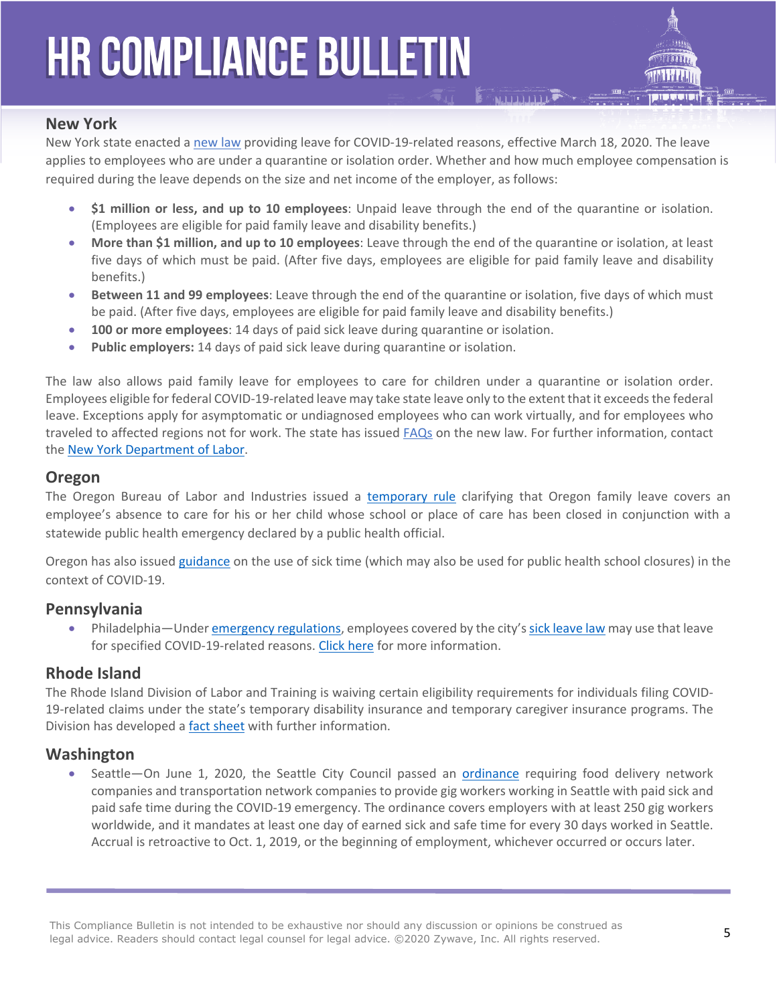

### **New York**

New York state enacted a [new law](https://nyassembly.gov/leg/?default_fld=&leg_video=&bn=SB8091&term=0&Summary=Y&Actions=Y&Text=Y) providing leave for COVID-19-related reasons, effective March 18, 2020. The leave applies to employees who are under a quarantine or isolation order. Whether and how much employee compensation is required during the leave depends on the size and net income of the employer, as follows:

- **\$1 million or less, and up to 10 employees**: Unpaid leave through the end of the quarantine or isolation. (Employees are eligible for paid family leave and disability benefits.)
- **More than \$1 million, and up to 10 employees**: Leave through the end of the quarantine or isolation, at least five days of which must be paid. (After five days, employees are eligible for paid family leave and disability benefits.)
- **Between 11 and 99 employees**: Leave through the end of the quarantine or isolation, five days of which must be paid. (After five days, employees are eligible for paid family leave and disability benefits.)
- **100 or more employees**: 14 days of paid sick leave during quarantine or isolation.
- **Public employers:** 14 days of paid sick leave during quarantine or isolation.

The law also allows paid family leave for employees to care for children under a quarantine or isolation order. Employees eligible for federal COVID-19-related leave may take state leave only to the extent that it exceeds the federal leave. Exceptions apply for asymptomatic or undiagnosed employees who can work virtually, and for employees who traveled to affected regions not for work. The state has issued [FAQs](https://paidfamilyleave.ny.gov/new-york-paid-family-leave-covid-19-faqs) on the new law. For further information, contact the [New York Department of Labor.](https://www.labor.ny.gov/home/)

### **Oregon**

The Oregon Bureau of Labor and Industries issued a [temporary rule](https://www.oregon.gov/boli/WHD/OST/Documents/OARD%20Temporary%20Rule%20Filing%20-%20OAR%20839-009-0230.pdf) clarifying that Oregon family leave covers an employee's absence to care for his or her child whose school or place of care has been closed in conjunction with a statewide public health emergency declared by a public health official.

Oregon has also issued [guidance](https://www.oregon.gov/BOLI/WHD/OST/Pages/index.aspx) on the use of sick time (which may also be used for public health school closures) in the context of COVID-19.

### **Pennsylvania**

 Philadelphia—Under [emergency regulations,](http://regulations.phila-records.com/) employees covered by the city's [sick leave law](https://www.phila.gov/2020-03-09-using-paid-sick-leave-in-philadelphia/) may use that leave for specified COVID-19-related reasons. [Click here](https://www.phila.gov/2020-03-20-information-and-resources-for-workers-impacted-by-covid-19/) for more information.

### **Rhode Island**

The Rhode Island Division of Labor and Training is waiving certain eligibility requirements for individuals filing COVID-19-related claims under the state's temporary disability insurance and temporary caregiver insurance programs. The Division has developed a [fact sheet](https://www.google.com/url?sa=t&rct=j&q=&esrc=s&source=web&cd=1&ved=2ahUKEwiA1p_uzLvoAhUwVBUIHXLQCbQQFjAAegQIAhAB&url=http://www.dlt.state.ri.us/pdfs/COVID-19%2520Workplace%2520Fact%2520Sheet.pdf&usg=AOvVaw09WxxVoMoteVGs7LJVpPPe) with further information.

### **Washington**

• Seattle—On June 1, 2020, the Seattle City Council passed an **[ordinance](http://seattle.legistar.com/LegislationDetail.aspx?ID=4538824&GUID=D6D81875-E8F2-4C8D-B9B1-4B623D196828&Options=ID%7CText%7C&Search=sick)** requiring food delivery network companies and transportation network companies to provide gig workers working in Seattle with paid sick and paid safe time during the COVID-19 emergency. The ordinance covers employers with at least 250 gig workers worldwide, and it mandates at least one day of earned sick and safe time for every 30 days worked in Seattle. Accrual is retroactive to Oct. 1, 2019, or the beginning of employment, whichever occurred or occurs later.